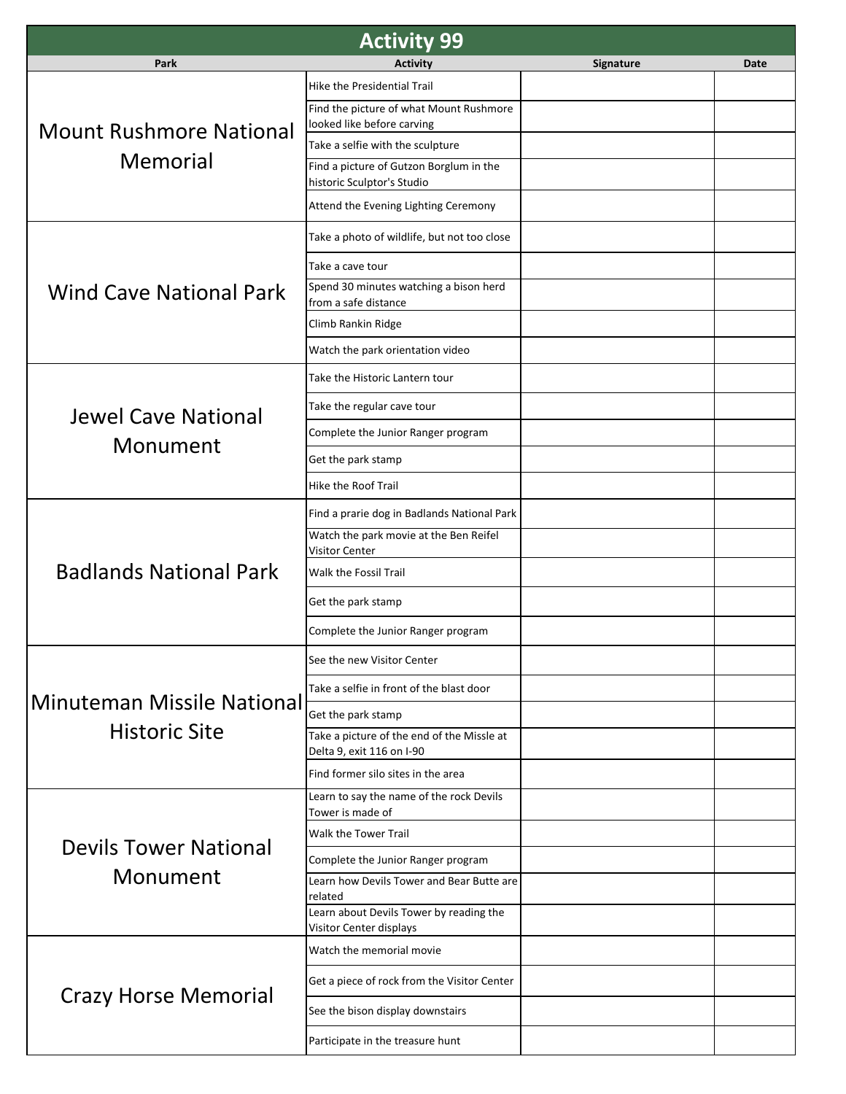| <b>Activity 99</b>                                        |                                                                         |                  |             |  |  |
|-----------------------------------------------------------|-------------------------------------------------------------------------|------------------|-------------|--|--|
| Park                                                      | <b>Activity</b>                                                         | <b>Signature</b> | <b>Date</b> |  |  |
| <b>Mount Rushmore National</b><br>Memorial                | Hike the Presidential Trail                                             |                  |             |  |  |
|                                                           | Find the picture of what Mount Rushmore<br>looked like before carving   |                  |             |  |  |
|                                                           | Take a selfie with the sculpture                                        |                  |             |  |  |
|                                                           | Find a picture of Gutzon Borglum in the<br>historic Sculptor's Studio   |                  |             |  |  |
|                                                           | Attend the Evening Lighting Ceremony                                    |                  |             |  |  |
| <b>Wind Cave National Park</b>                            | Take a photo of wildlife, but not too close                             |                  |             |  |  |
|                                                           | Take a cave tour                                                        |                  |             |  |  |
|                                                           | Spend 30 minutes watching a bison herd<br>from a safe distance          |                  |             |  |  |
|                                                           | Climb Rankin Ridge                                                      |                  |             |  |  |
|                                                           | Watch the park orientation video                                        |                  |             |  |  |
|                                                           | Take the Historic Lantern tour                                          |                  |             |  |  |
| <b>Jewel Cave National</b>                                | Take the regular cave tour                                              |                  |             |  |  |
|                                                           | Complete the Junior Ranger program                                      |                  |             |  |  |
| Monument                                                  | Get the park stamp                                                      |                  |             |  |  |
|                                                           | Hike the Roof Trail                                                     |                  |             |  |  |
|                                                           | Find a prarie dog in Badlands National Park                             |                  |             |  |  |
|                                                           | Watch the park movie at the Ben Reifel<br>Visitor Center                |                  |             |  |  |
| <b>Badlands National Park</b>                             | Walk the Fossil Trail                                                   |                  |             |  |  |
|                                                           | Get the park stamp                                                      |                  |             |  |  |
|                                                           | Complete the Junior Ranger program                                      |                  |             |  |  |
|                                                           | See the new Visitor Center                                              |                  |             |  |  |
| <b>Minuteman Missile National</b><br><b>Historic Site</b> | Take a selfie in front of the blast door                                |                  |             |  |  |
|                                                           | Get the park stamp                                                      |                  |             |  |  |
|                                                           | Take a picture of the end of the Missle at<br>Delta 9, exit 116 on I-90 |                  |             |  |  |
|                                                           | Find former silo sites in the area                                      |                  |             |  |  |
|                                                           | Learn to say the name of the rock Devils<br>Tower is made of            |                  |             |  |  |
|                                                           | Walk the Tower Trail                                                    |                  |             |  |  |
| <b>Devils Tower National</b><br>Monument                  | Complete the Junior Ranger program                                      |                  |             |  |  |
|                                                           | Learn how Devils Tower and Bear Butte are<br>related                    |                  |             |  |  |
|                                                           | Learn about Devils Tower by reading the<br>Visitor Center displays      |                  |             |  |  |
| <b>Crazy Horse Memorial</b>                               | Watch the memorial movie                                                |                  |             |  |  |
|                                                           | Get a piece of rock from the Visitor Center                             |                  |             |  |  |
|                                                           | See the bison display downstairs                                        |                  |             |  |  |
|                                                           | Participate in the treasure hunt                                        |                  |             |  |  |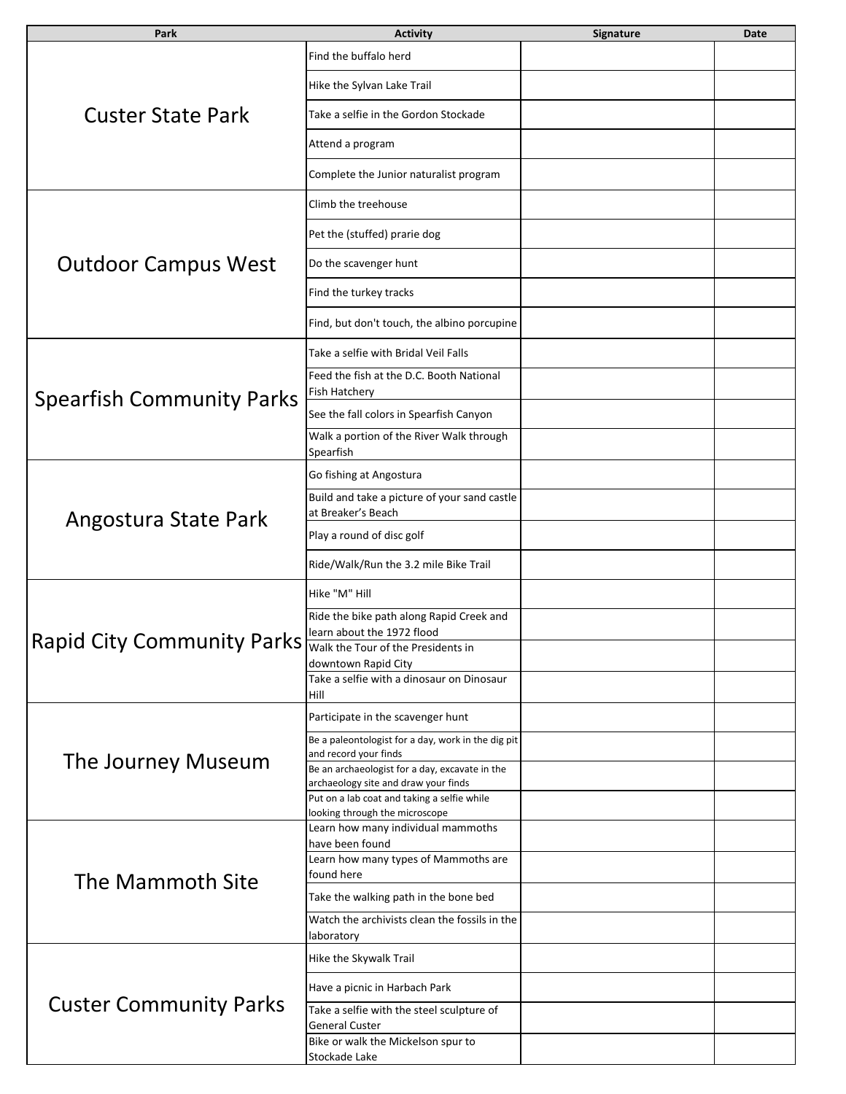| Park                              | <b>Activity</b>                                                                        | Signature | Date |
|-----------------------------------|----------------------------------------------------------------------------------------|-----------|------|
| <b>Custer State Park</b>          | Find the buffalo herd                                                                  |           |      |
|                                   | Hike the Sylvan Lake Trail                                                             |           |      |
|                                   | Take a selfie in the Gordon Stockade                                                   |           |      |
|                                   | Attend a program                                                                       |           |      |
|                                   | Complete the Junior naturalist program                                                 |           |      |
| <b>Outdoor Campus West</b>        | Climb the treehouse                                                                    |           |      |
|                                   | Pet the (stuffed) prarie dog                                                           |           |      |
|                                   | Do the scavenger hunt                                                                  |           |      |
|                                   | Find the turkey tracks                                                                 |           |      |
|                                   | Find, but don't touch, the albino porcupine                                            |           |      |
|                                   | Take a selfie with Bridal Veil Falls                                                   |           |      |
|                                   | Feed the fish at the D.C. Booth National<br>Fish Hatchery                              |           |      |
| <b>Spearfish Community Parks</b>  | See the fall colors in Spearfish Canyon                                                |           |      |
|                                   | Walk a portion of the River Walk through<br>Spearfish                                  |           |      |
|                                   | Go fishing at Angostura                                                                |           |      |
|                                   | Build and take a picture of your sand castle<br>at Breaker's Beach                     |           |      |
| Angostura State Park              | Play a round of disc golf                                                              |           |      |
|                                   | Ride/Walk/Run the 3.2 mile Bike Trail                                                  |           |      |
|                                   | Hike "M" Hill                                                                          |           |      |
|                                   | Ride the bike path along Rapid Creek and<br>learn about the 1972 flood                 |           |      |
| <b>Rapid City Community Parks</b> | Walk the Tour of the Presidents in<br>downtown Rapid City                              |           |      |
|                                   | Take a selfie with a dinosaur on Dinosaur<br>Hill                                      |           |      |
| The Journey Museum                | Participate in the scavenger hunt                                                      |           |      |
|                                   | Be a paleontologist for a day, work in the dig pit<br>and record your finds            |           |      |
|                                   | Be an archaeologist for a day, excavate in the<br>archaeology site and draw your finds |           |      |
|                                   | Put on a lab coat and taking a selfie while<br>looking through the microscope          |           |      |
| The Mammoth Site                  | Learn how many individual mammoths                                                     |           |      |
|                                   | have been found<br>Learn how many types of Mammoths are                                |           |      |
|                                   | found here                                                                             |           |      |
|                                   | Take the walking path in the bone bed<br>Watch the archivists clean the fossils in the |           |      |
|                                   | laboratory                                                                             |           |      |
| <b>Custer Community Parks</b>     | Hike the Skywalk Trail                                                                 |           |      |
|                                   | Have a picnic in Harbach Park                                                          |           |      |
|                                   | Take a selfie with the steel sculpture of<br><b>General Custer</b>                     |           |      |
|                                   | Bike or walk the Mickelson spur to                                                     |           |      |
|                                   | Stockade Lake                                                                          |           |      |